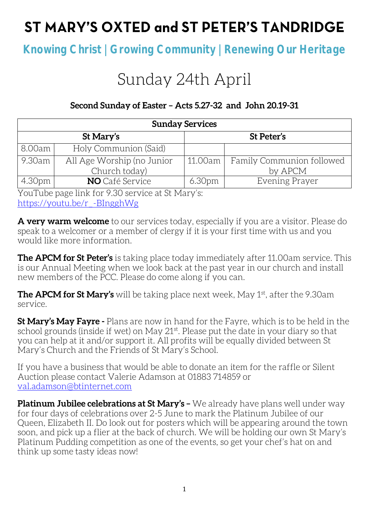## ST MARY'S OXTED and ST PETER'S TANDRIDGE

**Knowing Christ | Growing Community | Renewing Our Heritage**

# Sunday 24th April

### **Second Sunday of Easter – Acts 5.27-32 and John 20.19-31**

| <b>Sunday Services</b> |                            |                    |                           |  |
|------------------------|----------------------------|--------------------|---------------------------|--|
|                        | St Mary's                  | St Peter's         |                           |  |
| 8.00am                 | Holy Communion (Said)      |                    |                           |  |
| 9.30am l               | All Age Worship (no Junior | 11.00am            | Family Communion followed |  |
|                        | Church today)              |                    | by APCM                   |  |
| 4.30pm                 | <b>NO</b> Café Service     | 6.30 <sub>pm</sub> | Evening Prayer            |  |

YouTube page link for 9.30 service at St Mary's: [https://youtu.be/r\\_-BIngghWg](https://youtu.be/r_-BIngghWg)

**A very warm welcome** to our services today, especially if you are a visitor. Please do speak to a welcomer or a member of clergy if it is your first time with us and you would like more information.

**The APCM for St Peter's** is taking place today immediately after 11.00am service. This is our Annual Meeting when we look back at the past year in our church and install new members of the PCC. Please do come along if you can.

**The APCM for St Mary's** will be taking place next week, May 1st, after the 9.30am service.

**St Mary's May Fayre -** Plans are now in hand for the Fayre, which is to be held in the school grounds (inside if wet) on May 21st. Please put the date in your diary so that you can help at it and/or support it. All profits will be equally divided between St Mary's Church and the Friends of St Mary's School.

If you have a business that would be able to donate an item for the raffle or Silent Auction please contact Valerie Adamson at 01883 714859 or [val.adamson@btinternet.com](mailto:val.adamson@btinternet.com)

**Platinum Jubilee celebrations at St Mary's –** We already have plans well under way for four days of celebrations over 2-5 June to mark the Platinum Jubilee of our Queen, Elizabeth II. Do look out for posters which will be appearing around the town soon, and pick up a flier at the back of church. We will be holding our own St Mary's Platinum Pudding competition as one of the events, so get your chef's hat on and think up some tasty ideas now!